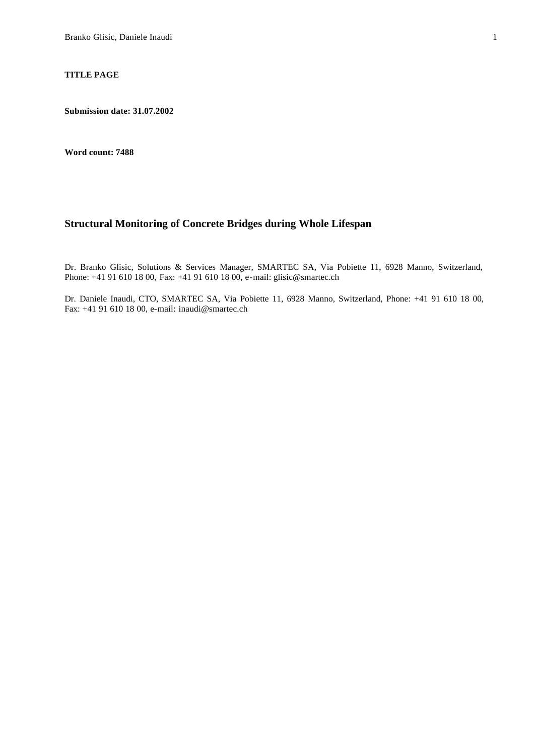Branko Glisic, Daniele Inaudi 1

# **TITLE PAGE**

**Submission date: 31.07.2002**

**Word count: 7488**

# **Structural Monitoring of Concrete Bridges during Whole Lifespan**

Dr. Branko Glisic, Solutions & Services Manager, SMARTEC SA, Via Pobiette 11, 6928 Manno, Switzerland, Phone: +41 91 610 18 00, Fax: +41 91 610 18 00, e-mail: glisic@smartec.ch

Dr. Daniele Inaudi, CTO, SMARTEC SA, Via Pobiette 11, 6928 Manno, Switzerland, Phone: +41 91 610 18 00, Fax: +41 91 610 18 00, e-mail: inaudi@smartec.ch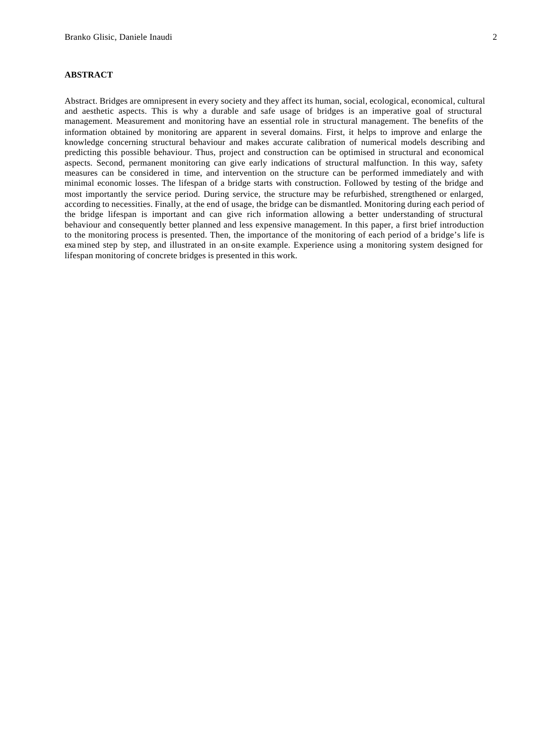### **ABSTRACT**

Abstract. Bridges are omnipresent in every society and they affect its human, social, ecological, economical, cultural and aesthetic aspects. This is why a durable and safe usage of bridges is an imperative goal of structural management. Measurement and monitoring have an essential role in structural management. The benefits of the information obtained by monitoring are apparent in several domains. First, it helps to improve and enlarge the knowledge concerning structural behaviour and makes accurate calibration of numerical models describing and predicting this possible behaviour. Thus, project and construction can be optimised in structural and economical aspects. Second, permanent monitoring can give early indications of structural malfunction. In this way, safety measures can be considered in time, and intervention on the structure can be performed immediately and with minimal economic losses. The lifespan of a bridge starts with construction. Followed by testing of the bridge and most importantly the service period. During service, the structure may be refurbished, strengthened or enlarged, according to necessities. Finally, at the end of usage, the bridge can be dismantled. Monitoring during each period of the bridge lifespan is important and can give rich information allowing a better understanding of structural behaviour and consequently better planned and less expensive management. In this paper, a first brief introduction to the monitoring process is presented. Then, the importance of the monitoring of each period of a bridge's life is exa mined step by step, and illustrated in an on-site example. Experience using a monitoring system designed for lifespan monitoring of concrete bridges is presented in this work.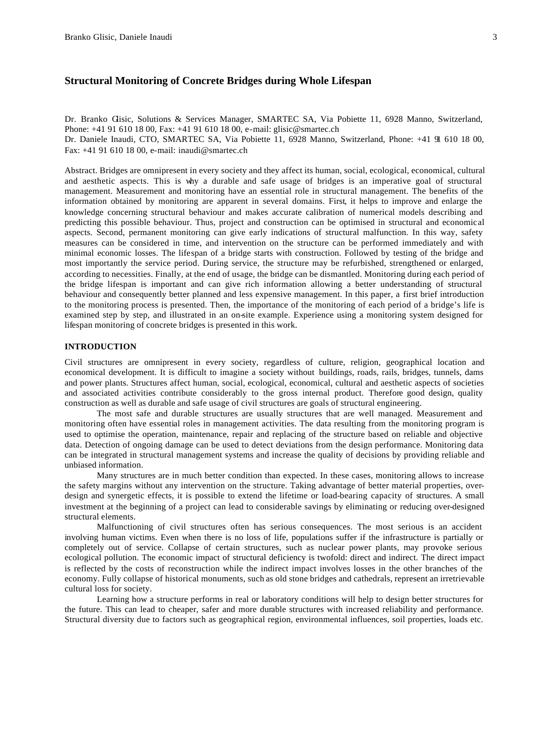# **Structural Monitoring of Concrete Bridges during Whole Lifespan**

Dr. Branko Glisic, Solutions & Services Manager, SMARTEC SA, Via Pobiette 11, 6928 Manno, Switzerland, Phone: +41 91 610 18 00, Fax: +41 91 610 18 00, e-mail: glisic@smartec.ch Dr. Daniele Inaudi, CTO, SMARTEC SA, Via Pobiette 11, 6928 Manno, Switzerland, Phone: +41 91 610 18 00, Fax: +41 91 610 18 00, e-mail: inaudi@smartec.ch

Abstract. Bridges are omnipresent in every society and they affect its human, social, ecological, economical, cultural and aesthetic aspects. This is why a durable and safe usage of bridges is an imperative goal of structural management. Measurement and monitoring have an essential role in structural management. The benefits of the information obtained by monitoring are apparent in several domains. First, it helps to improve and enlarge the knowledge concerning structural behaviour and makes accurate calibration of numerical models describing and predicting this possible behaviour. Thus, project and construction can be optimised in structural and economical aspects. Second, permanent monitoring can give early indications of structural malfunction. In this way, safety measures can be considered in time, and intervention on the structure can be performed immediately and with minimal economic losses. The lifespan of a bridge starts with construction. Followed by testing of the bridge and most importantly the service period. During service, the structure may be refurbished, strengthened or enlarged, according to necessities. Finally, at the end of usage, the bridge can be dismantled. Monitoring during each period of the bridge lifespan is important and can give rich information allowing a better understanding of structural behaviour and consequently better planned and less expensive management. In this paper, a first brief introduction to the monitoring process is presented. Then, the importance of the monitoring of each period of a bridge's life is examined step by step, and illustrated in an on-site example. Experience using a monitoring system designed for lifespan monitoring of concrete bridges is presented in this work.

#### **INTRODUCTION**

Civil structures are omnipresent in every society, regardless of culture, religion, geographical location and economical development. It is difficult to imagine a society without buildings, roads, rails, bridges, tunnels, dams and power plants. Structures affect human, social, ecological, economical, cultural and aesthetic aspects of societies and associated activities contribute considerably to the gross internal product. Therefore good design, quality construction as well as durable and safe usage of civil structures are goals of structural engineering.

The most safe and durable structures are usually structures that are well managed. Measurement and monitoring often have essential roles in management activities. The data resulting from the monitoring program is used to optimise the operation, maintenance, repair and replacing of the structure based on reliable and objective data. Detection of ongoing damage can be used to detect deviations from the design performance. Monitoring data can be integrated in structural management systems and increase the quality of decisions by providing reliable and unbiased information.

Many structures are in much better condition than expected. In these cases, monitoring allows to increase the safety margins without any intervention on the structure. Taking advantage of better material properties, overdesign and synergetic effects, it is possible to extend the lifetime or load-bearing capacity of structures. A small investment at the beginning of a project can lead to considerable savings by eliminating or reducing over-designed structural elements.

Malfunctioning of civil structures often has serious consequences. The most serious is an accident involving human victims. Even when there is no loss of life, populations suffer if the infrastructure is partially or completely out of service. Collapse of certain structures, such as nuclear power plants, may provoke serious ecological pollution. The economic impact of structural deficiency is twofold: direct and indirect. The direct impact is reflected by the costs of reconstruction while the indirect impact involves losses in the other branches of the economy. Fully collapse of historical monuments, such as old stone bridges and cathedrals, represent an irretrievable cultural loss for society.

Learning how a structure performs in real or laboratory conditions will help to design better structures for the future. This can lead to cheaper, safer and more durable structures with increased reliability and performance. Structural diversity due to factors such as geographical region, environmental influences, soil properties, loads etc.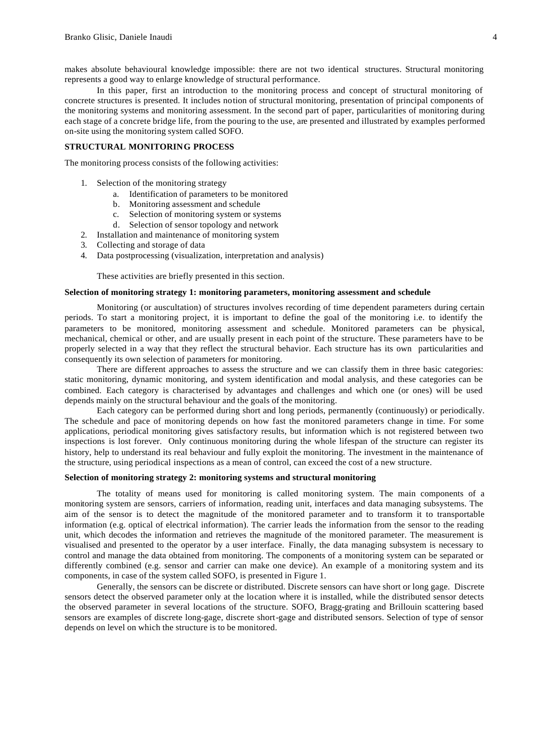makes absolute behavioural knowledge impossible: there are not two identical structures. Structural monitoring represents a good way to enlarge knowledge of structural performance.

In this paper, first an introduction to the monitoring process and concept of structural monitoring of concrete structures is presented. It includes notion of structural monitoring, presentation of principal components of the monitoring systems and monitoring assessment. In the second part of paper, particularities of monitoring during each stage of a concrete bridge life, from the pouring to the use, are presented and illustrated by examples performed on-site using the monitoring system called SOFO.

# **STRUCTURAL MONITORING PROCESS**

The monitoring process consists of the following activities:

- 1. Selection of the monitoring strategy
	- a. Identification of parameters to be monitored
	- b. Monitoring assessment and schedule
	- c. Selection of monitoring system or systems
	- d. Selection of sensor topology and network
- 2. Installation and maintenance of monitoring system
- 3. Collecting and storage of data
- 4. Data postprocessing (visualization, interpretation and analysis)

These activities are briefly presented in this section.

### **Selection of monitoring strategy 1: monitoring parameters, monitoring assessment and schedule**

Monitoring (or auscultation) of structures involves recording of time dependent parameters during certain periods. To start a monitoring project, it is important to define the goal of the monitoring i.e. to identify the parameters to be monitored, monitoring assessment and schedule. Monitored parameters can be physical, mechanical, chemical or other, and are usually present in each point of the structure. These parameters have to be properly selected in a way that they reflect the structural behavior. Each structure has its own particularities and consequently its own selection of parameters for monitoring.

There are different approaches to assess the structure and we can classify them in three basic categories: static monitoring, dynamic monitoring, and system identification and modal analysis, and these categories can be combined. Each category is characterised by advantages and challenges and which one (or ones) will be used depends mainly on the structural behaviour and the goals of the monitoring.

Each category can be performed during short and long periods, permanently (continuously) or periodically. The schedule and pace of monitoring depends on how fast the monitored parameters change in time. For some applications, periodical monitoring gives satisfactory results, but information which is not registered between two inspections is lost forever. Only continuous monitoring during the whole lifespan of the structure can register its history, help to understand its real behaviour and fully exploit the monitoring. The investment in the maintenance of the structure, using periodical inspections as a mean of control, can exceed the cost of a new structure.

#### **Selection of monitoring strategy 2: monitoring systems and structural monitoring**

The totality of means used for monitoring is called monitoring system. The main components of a monitoring system are sensors, carriers of information, reading unit, interfaces and data managing subsystems. The aim of the sensor is to detect the magnitude of the monitored parameter and to transform it to transportable information (e.g. optical of electrical information). The carrier leads the information from the sensor to the reading unit, which decodes the information and retrieves the magnitude of the monitored parameter. The measurement is visualised and presented to the operator by a user interface. Finally, the data managing subsystem is necessary to control and manage the data obtained from monitoring. The components of a monitoring system can be separated or differently combined (e.g. sensor and carrier can make one device). An example of a monitoring system and its components, in case of the system called SOFO, is presented in Figure 1.

Generally, the sensors can be discrete or distributed. Discrete sensors can have short or long gage. Discrete sensors detect the observed parameter only at the location where it is installed, while the distributed sensor detects the observed parameter in several locations of the structure. SOFO, Bragg-grating and Brillouin scattering based sensors are examples of discrete long-gage, discrete short-gage and distributed sensors. Selection of type of sensor depends on level on which the structure is to be monitored.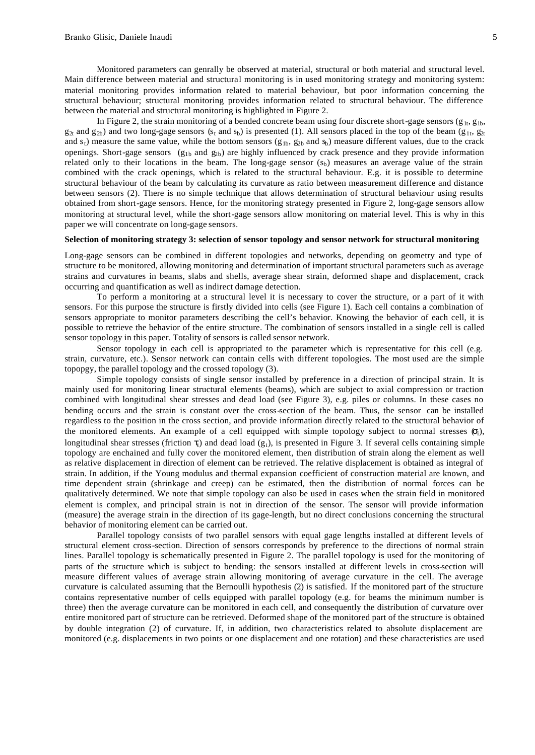Monitored parameters can genrally be observed at material, structural or both material and structural level. Main difference between material and structural monitoring is in used monitoring strategy and monitoring system: material monitoring provides information related to material behaviour, but poor information concerning the structural behaviour; structural monitoring provides information related to structural behaviour. The difference between the material and structural monitoring is highlighted in Figure 2.

In Figure 2, the strain monitoring of a bended concrete beam using four discrete short-gage sensors ( $g_{1t}$ ,  $g_{1b}$ ,  $g_{2t}$  and  $g_{2b}$ ) and two long-gage sensors ( $s_t$  and  $s_b$ ) is presented (1). All sensors placed in the top of the beam ( $g_{1t}$ ,  $g_{2t}$ and  $s_t$ ) measure the same value, while the bottom sensors ( $g_{1b}$ ,  $g_{2b}$  and  $s_b$ ) measure different values, due to the crack openings. Short-gage sensors  $(g_{1b}$  and  $g_{2b}$ ) are highly influenced by crack presence and they provide information related only to their locations in the beam. The long-gage sensor  $(s_b)$  measures an average value of the strain combined with the crack openings, which is related to the structural behaviour. E.g. it is possible to determine structural behaviour of the beam by calculating its curvature as ratio between measurement difference and distance between sensors (2). There is no simple technique that allows determination of structural behaviour using results obtained from short-gage sensors. Hence, for the monitoring strategy presented in Figure 2, long-gage sensors allow monitoring at structural level, while the short-gage sensors allow monitoring on material level. This is why in this paper we will concentrate on long-gage sensors.

# **Selection of monitoring strategy 3: selection of sensor topology and sensor network for structural monitoring**

Long-gage sensors can be combined in different topologies and networks, depending on geometry and type of structure to be monitored, allowing monitoring and determination of important structural parameters such as average strains and curvatures in beams, slabs and shells, average shear strain, deformed shape and displacement, crack occurring and quantification as well as indirect damage detection.

To perform a monitoring at a structural level it is necessary to cover the structure, or a part of it with sensors. For this purpose the structure is firstly divided into cells (see Figure 1). Each cell contains a combination of sensors appropriate to monitor parameters describing the cell's behavior. Knowing the behavior of each cell, it is possible to retrieve the behavior of the entire structure. The combination of sensors installed in a single cell is called sensor topology in this paper. Totality of sensors is called sensor network.

Sensor topology in each cell is appropriated to the parameter which is representative for this cell (e.g. strain, curvature, etc.). Sensor network can contain cells with different topologies. The most used are the simple topopgy, the parallel topology and the crossed topology (3).

Simple topology consists of single sensor installed by preference in a direction of principal strain. It is mainly used for monitoring linear structural elements (beams), which are subject to axial compression or traction combined with longitudinal shear stresses and dead load (see Figure 3), e.g. piles or columns. In these cases no bending occurs and the strain is constant over the cross-section of the beam. Thus, the sensor can be installed regardless to the position in the cross section, and provide information directly related to the structural behavior of the monitored elements. An example of a cell equipped with simple topology subject to normal stresses  $(\sigma_i)$ , longitudinal shear stresses (friction  $\tau_i$ ) and dead load (g<sub>i</sub>), is presented in Figure 3. If several cells containing simple topology are enchained and fully cover the monitored element, then distribution of strain along the element as well as relative displacement in direction of element can be retrieved. The relative displacement is obtained as integral of strain. In addition, if the Young modulus and thermal expansion coefficient of construction material are known, and time dependent strain (shrinkage and creep) can be estimated, then the distribution of normal forces can be qualitatively determined. We note that simple topology can also be used in cases when the strain field in monitored element is complex, and principal strain is not in direction of the sensor. The sensor will provide information (measure) the average strain in the direction of its gage-length, but no direct conclusions concerning the structural behavior of monitoring element can be carried out.

Parallel topology consists of two parallel sensors with equal gage lengths installed at different levels of structural element cross-section. Direction of sensors corresponds by preference to the directions of normal strain lines. Parallel topology is schematically presented in Figure 2. The parallel topology is used for the monitoring of parts of the structure which is subject to bending: the sensors installed at different levels in cross-section will measure different values of average strain allowing monitoring of average curvature in the cell. The average curvature is calculated assuming that the Bernoulli hypothesis (2) is satisfied. If the monitored part of the structure contains representative number of cells equipped with parallel topology (e.g. for beams the minimum number is three) then the average curvature can be monitored in each cell, and consequently the distribution of curvature over entire monitored part of structure can be retrieved. Deformed shape of the monitored part of the structure is obtained by double integration (2) of curvature. If, in addition, two characteristics related to absolute displacement are monitored (e.g. displacements in two points or one displacement and one rotation) and these characteristics are used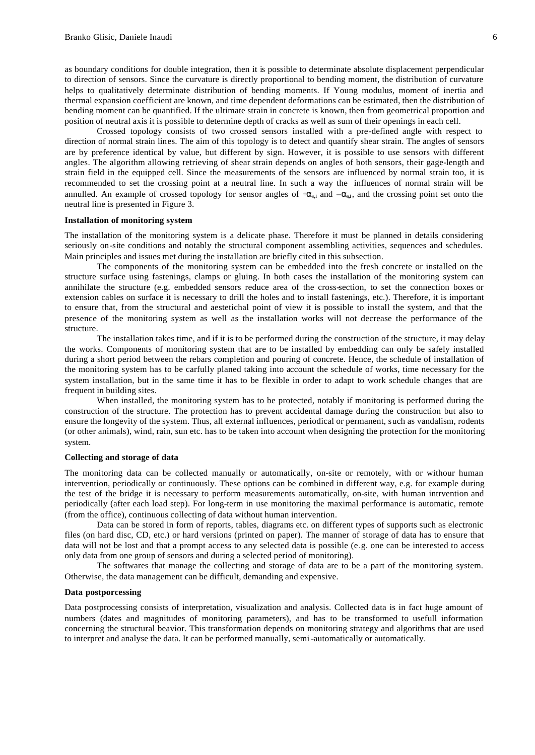as boundary conditions for double integration, then it is possible to determinate absolute displacement perpendicular to direction of sensors. Since the curvature is directly proportional to bending moment, the distribution of curvature helps to qualitatively determinate distribution of bending moments. If Young modulus, moment of inertia and thermal expansion coefficient are known, and time dependent deformations can be estimated, then the distribution of bending moment can be quantified. If the ultimate strain in concrete is known, then from geometrical proportion and position of neutral axis it is possible to determine depth of cracks as well as sum of their openings in each cell.

Crossed topology consists of two crossed sensors installed with a pre-defined angle with respect to direction of normal strain lines. The aim of this topology is to detect and quantify shear strain. The angles of sensors are by preference identical by value, but different by sign. However, it is possible to use sensors with different angles. The algorithm allowing retrieving of shear strain depends on angles of both sensors, their gage-length and strain field in the equipped cell. Since the measurements of the sensors are influenced by normal strain too, it is recommended to set the crossing point at a neutral line. In such a way the influences of normal strain will be annulled. An example of crossed topology for sensor angles of  $+\alpha_s$ ; and  $-\alpha_s$ ; and the crossing point set onto the neutral line is presented in Figure 3.

### **Installation of monitoring system**

The installation of the monitoring system is a delicate phase. Therefore it must be planned in details considering seriously on-site conditions and notably the structural component assembling activities, sequences and schedules. Main principles and issues met during the installation are briefly cited in this subsection.

The components of the monitoring system can be embedded into the fresh concrete or installed on the structure surface using fastenings, clamps or gluing. In both cases the installation of the monitoring system can annihilate the structure (e.g. embedded sensors reduce area of the cross-section, to set the connection boxes or extension cables on surface it is necessary to drill the holes and to install fastenings, etc.). Therefore, it is important to ensure that, from the structural and aestetichal point of view it is possible to install the system, and that the presence of the monitoring system as well as the installation works will not decrease the performance of the structure.

The installation takes time, and if it is to be performed during the construction of the structure, it may delay the works. Components of monitoring system that are to be installed by embedding can only be safely installed during a short period between the rebars completion and pouring of concrete. Hence, the schedule of installation of the monitoring system has to be carfully planed taking into account the schedule of works, time necessary for the system installation, but in the same time it has to be flexible in order to adapt to work schedule changes that are frequent in building sites.

When installed, the monitoring system has to be protected, notably if monitoring is performed during the construction of the structure. The protection has to prevent accidental damage during the construction but also to ensure the longevity of the system. Thus, all external influences, periodical or permanent, such as vandalism, rodents (or other animals), wind, rain, sun etc. has to be taken into account when designing the protection for the monitoring system.

#### **Collecting and storage of data**

The monitoring data can be collected manually or automatically, on-site or remotely, with or withour human intervention, periodically or continuously. These options can be combined in different way, e.g. for example during the test of the bridge it is necessary to perform measurements automatically, on-site, with human intrvention and periodically (after each load step). For long-term in use monitoring the maximal performance is automatic, remote (from the office), continuous collecting of data without human intervention.

Data can be stored in form of reports, tables, diagrams etc. on different types of supports such as electronic files (on hard disc, CD, etc.) or hard versions (printed on paper). The manner of storage of data has to ensure that data will not be lost and that a prompt access to any selected data is possible (e.g. one can be interested to access only data from one group of sensors and during a selected period of monitoring).

The softwares that manage the collecting and storage of data are to be a part of the monitoring system. Otherwise, the data management can be difficult, demanding and expensive.

# **Data postporcessing**

Data postprocessing consists of interpretation, visualization and analysis. Collected data is in fact huge amount of numbers (dates and magnitudes of monitoring parameters), and has to be transformed to usefull information concerning the structural beavior. This transformation depends on monitoring strategy and algorithms that are used to interpret and analyse the data. It can be performed manually, semi-automatically or automatically.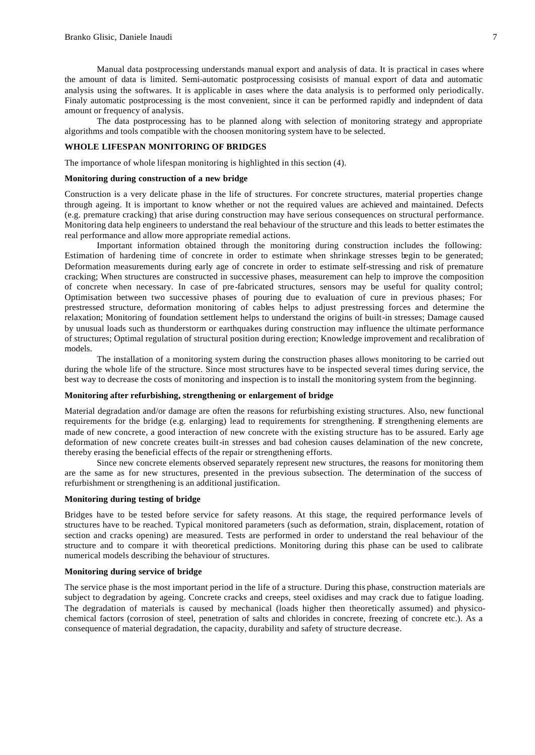Manual data postprocessing understands manual export and analysis of data. It is practical in cases where the amount of data is limited. Semi-automatic postprocessing cosisists of manual export of data and automatic analysis using the softwares. It is applicable in cases where the data analysis is to performed only periodically. Finaly automatic postprocessing is the most convenient, since it can be performed rapidly and indepndent of data amount or frequency of analysis.

The data postprocessing has to be planned along with selection of monitoring strategy and appropriate algorithms and tools compatible with the choosen monitoring system have to be selected.

### **WHOLE LIFESPAN MONITORING OF BRIDGES**

The importance of whole lifespan monitoring is highlighted in this section (4).

#### **Monitoring during construction of a new bridge**

Construction is a very delicate phase in the life of structures. For concrete structures, material properties change through ageing. It is important to know whether or not the required values are achieved and maintained. Defects (e.g. premature cracking) that arise during construction may have serious consequences on structural performance. Monitoring data help engineers to understand the real behaviour of the structure and this leads to better estimates the real performance and allow more appropriate remedial actions.

Important information obtained through the monitoring during construction includes the following: Estimation of hardening time of concrete in order to estimate when shrinkage stresses begin to be generated; Deformation measurements during early age of concrete in order to estimate self-stressing and risk of premature cracking; When structures are constructed in successive phases, measurement can help to improve the composition of concrete when necessary. In case of pre-fabricated structures, sensors may be useful for quality control; Optimisation between two successive phases of pouring due to evaluation of cure in previous phases; For prestressed structure, deformation monitoring of cables helps to adjust prestressing forces and determine the relaxation; Monitoring of foundation settlement helps to understand the origins of built-in stresses; Damage caused by unusual loads such as thunderstorm or earthquakes during construction may influence the ultimate performance of structures; Optimal regulation of structural position during erection; Knowledge improvement and recalibration of models.

The installation of a monitoring system during the construction phases allows monitoring to be carried out during the whole life of the structure. Since most structures have to be inspected several times during service, the best way to decrease the costs of monitoring and inspection is to install the monitoring system from the beginning.

#### **Monitoring after refurbishing, strengthening or enlargement of bridge**

Material degradation and/or damage are often the reasons for refurbishing existing structures. Also, new functional requirements for the bridge (e.g. enlarging) lead to requirements for strengthening. If strengthening elements are made of new concrete, a good interaction of new concrete with the existing structure has to be assured. Early age deformation of new concrete creates built-in stresses and bad cohesion causes delamination of the new concrete, thereby erasing the beneficial effects of the repair or strengthening efforts.

Since new concrete elements observed separately represent new structures, the reasons for monitoring them are the same as for new structures, presented in the previous subsection. The determination of the success of refurbishment or strengthening is an additional justification.

### **Monitoring during testing of bridge**

Bridges have to be tested before service for safety reasons. At this stage, the required performance levels of structures have to be reached. Typical monitored parameters (such as deformation, strain, displacement, rotation of section and cracks opening) are measured. Tests are performed in order to understand the real behaviour of the structure and to compare it with theoretical predictions. Monitoring during this phase can be used to calibrate numerical models describing the behaviour of structures.

#### **Monitoring during service of bridge**

The service phase is the most important period in the life of a structure. During this phase, construction materials are subject to degradation by ageing. Concrete cracks and creeps, steel oxidises and may crack due to fatigue loading. The degradation of materials is caused by mechanical (loads higher then theoretically assumed) and physicochemical factors (corrosion of steel, penetration of salts and chlorides in concrete, freezing of concrete etc.). As a consequence of material degradation, the capacity, durability and safety of structure decrease.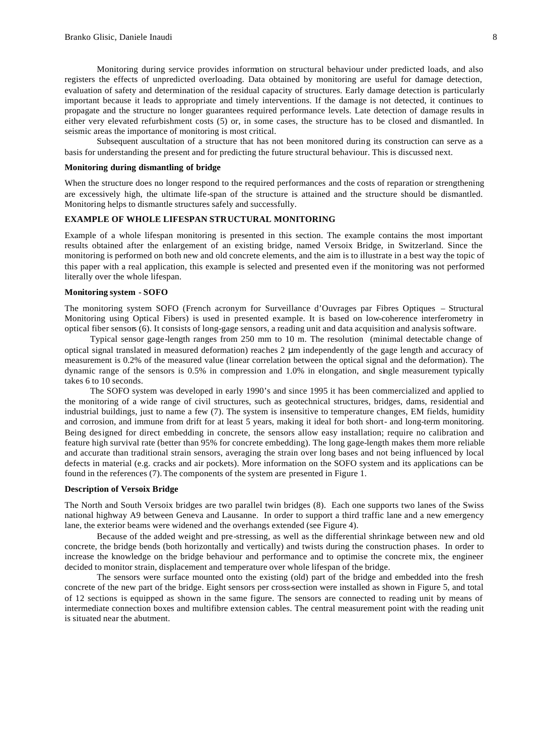Monitoring during service provides information on structural behaviour under predicted loads, and also registers the effects of unpredicted overloading. Data obtained by monitoring are useful for damage detection, evaluation of safety and determination of the residual capacity of structures. Early damage detection is particularly important because it leads to appropriate and timely interventions. If the damage is not detected, it continues to propagate and the structure no longer guarantees required performance levels. Late detection of damage results in either very elevated refurbishment costs (5) or, in some cases, the structure has to be closed and dismantled. In seismic areas the importance of monitoring is most critical.

Subsequent auscultation of a structure that has not been monitored during its construction can serve as a basis for understanding the present and for predicting the future structural behaviour. This is discussed next.

#### **Monitoring during dismantling of bridge**

When the structure does no longer respond to the required performances and the costs of reparation or strengthening are excessively high, the ultimate life-span of the structure is attained and the structure should be dismantled. Monitoring helps to dismantle structures safely and successfully.

## **EXAMPLE OF WHOLE LIFESPAN STRUCTURAL MONITORING**

Example of a whole lifespan monitoring is presented in this section. The example contains the most important results obtained after the enlargement of an existing bridge, named Versoix Bridge, in Switzerland. Since the monitoring is performed on both new and old concrete elements, and the aim is to illustrate in a best way the topic of this paper with a real application, this example is selected and presented even if the monitoring was not performed literally over the whole lifespan.

### **Monitoring system - SOFO**

The monitoring system SOFO (French acronym for Surveillance d'Ouvrages par Fibres Optiques – Structural Monitoring using Optical Fibers) is used in presented example. It is based on low-coherence interferometry in optical fiber sensors (6). It consists of long-gage sensors, a reading unit and data acquisition and analysis software.

Typical sensor gage-length ranges from 250 mm to 10 m. The resolution (minimal detectable change of optical signal translated in measured deformation) reaches 2 μm independently of the gage length and accuracy of measurement is 0.2% of the measured value (linear correlation between the optical signal and the deformation). The dynamic range of the sensors is 0.5% in compression and 1.0% in elongation, and single measurement typically takes 6 to 10 seconds.

The SOFO system was developed in early 1990's and since 1995 it has been commercialized and applied to the monitoring of a wide range of civil structures, such as geotechnical structures, bridges, dams, residential and industrial buildings, just to name a few (7). The system is insensitive to temperature changes, EM fields, humidity and corrosion, and immune from drift for at least 5 years, making it ideal for both short- and long-term monitoring. Being designed for direct embedding in concrete, the sensors allow easy installation; require no calibration and feature high survival rate (better than 95% for concrete embedding). The long gage-length makes them more reliable and accurate than traditional strain sensors, averaging the strain over long bases and not being influenced by local defects in material (e.g. cracks and air pockets). More information on the SOFO system and its applications can be found in the references (7). The components of the system are presented in Figure 1.

#### **Description of Versoix Bridge**

The North and South Versoix bridges are two parallel twin bridges (8). Each one supports two lanes of the Swiss national highway A9 between Geneva and Lausanne. In order to support a third traffic lane and a new emergency lane, the exterior beams were widened and the overhangs extended (see Figure 4).

Because of the added weight and pre-stressing, as well as the differential shrinkage between new and old concrete, the bridge bends (both horizontally and vertically) and twists during the construction phases. In order to increase the knowledge on the bridge behaviour and performance and to optimise the concrete mix, the engineer decided to monitor strain, displacement and temperature over whole lifespan of the bridge.

The sensors were surface mounted onto the existing (old) part of the bridge and embedded into the fresh concrete of the new part of the bridge. Eight sensors per cross-section were installed as shown in Figure 5, and total of 12 sections is equipped as shown in the same figure. The sensors are connected to reading unit by means of intermediate connection boxes and multifibre extension cables. The central measurement point with the reading unit is situated near the abutment.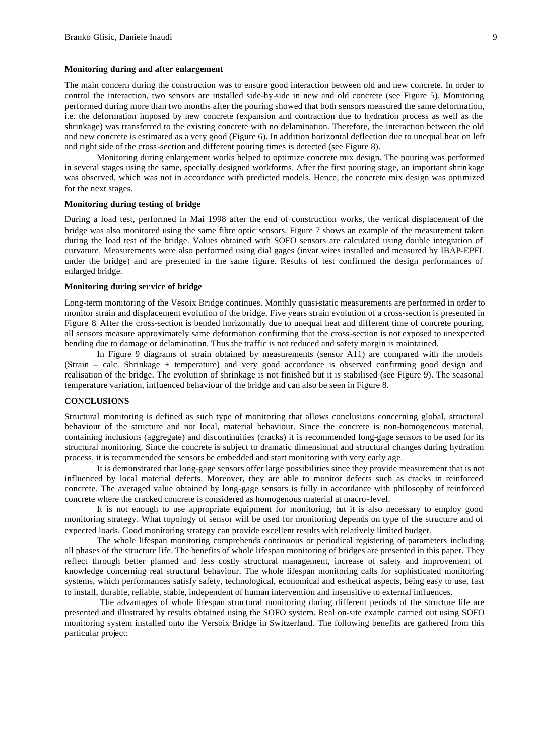#### **Monitoring during and after enlargement**

The main concern during the construction was to ensure good interaction between old and new concrete. In order to control the interaction, two sensors are installed side-by-side in new and old concrete (see Figure 5). Monitoring performed during more than two months after the pouring showed that both sensors measured the same deformation, i.e. the deformation imposed by new concrete (expansion and contraction due to hydration process as well as the shrinkage) was transferred to the existing concrete with no delamination. Therefore, the interaction between the old and new concrete is estimated as a very good (Figure 6). In addition horizontal deflection due to unequal heat on left and right side of the cross-section and different pouring times is detected (see Figure 8).

Monitoring during enlargement works helped to optimize concrete mix design. The pouring was performed in several stages using the same, specially designed workforms. After the first pouring stage, an important shrinkage was observed, which was not in accordance with predicted models. Hence, the concrete mix design was optimized for the next stages.

### **Monitoring during testing of bridge**

During a load test, performed in Mai 1998 after the end of construction works, the vertical displacement of the bridge was also monitored using the same fibre optic sensors. Figure 7 shows an example of the measurement taken during the load test of the bridge. Values obtained with SOFO sensors are calculated using double integration of curvature. Measurements were also performed using dial gages (invar wires installed and measured by IBAP-EPFL under the bridge) and are presented in the same figure. Results of test confirmed the design performances of enlarged bridge.

#### **Monitoring during service of bridge**

Long-term monitoring of the Vesoix Bridge continues. Monthly quasi-static measurements are performed in order to monitor strain and displacement evolution of the bridge. Five years strain evolution of a cross-section is presented in Figure 8. After the cross-section is bended horizontally due to unequal heat and different time of concrete pouring, all sensors measure approximately same deformation confirming that the cross-section is not exposed to unexpected bending due to damage or delamination. Thus the traffic is not reduced and safety margin is maintained.

In Figure 9 diagrams of strain obtained by measurements (sensor A11) are compared with the models (Strain – calc. Shrinkage + temperature) and very good accordance is observed confirming good design and realisation of the bridge. The evolution of shrinkage is not finished but it is stabilised (see Figure 9). The seasonal temperature variation, influenced behaviour of the bridge and can also be seen in Figure 8.

# **CONCLUSIONS**

Structural monitoring is defined as such type of monitoring that allows conclusions concerning global, structural behaviour of the structure and not local, material behaviour. Since the concrete is non-homogeneous material, containing inclusions (aggregate) and discontinuities (cracks) it is recommended long-gage sensors to be used for its structural monitoring. Since the concrete is subject to dramatic dimensional and structural changes during hydration process, it is recommended the sensors be embedded and start monitoring with very early age.

It is demonstrated that long-gage sensors offer large possibilities since they provide measurement that is not influenced by local material defects. Moreover, they are able to monitor defects such as cracks in reinforced concrete. The averaged value obtained by long-gage sensors is fully in accordance with philosophy of reinforced concrete where the cracked concrete is considered as homogenous material at macro-level.

It is not enough to use appropriate equipment for monitoring, but it is also necessary to employ good monitoring strategy. What topology of sensor will be used for monitoring depends on type of the structure and of expected loads. Good monitoring strategy can provide excellent results with relatively limited budget.

The whole lifespan monitoring comprehends continuous or periodical registering of parameters including all phases of the structure life. The benefits of whole lifespan monitoring of bridges are presented in this paper. They reflect through better planned and less costly structural management, increase of safety and improvement of knowledge concerning real structural behaviour. The whole lifespan monitoring calls for sophisticated monitoring systems, which performances satisfy safety, technological, economical and esthetical aspects, being easy to use, fast to install, durable, reliable, stable, independent of human intervention and insensitive to external influences.

 The advantages of whole lifespan structural monitoring during different periods of the structure life are presented and illustrated by results obtained using the SOFO system. Real on-site example carried out using SOFO monitoring system installed onto the Versoix Bridge in Switzerland. The following benefits are gathered from this particular project: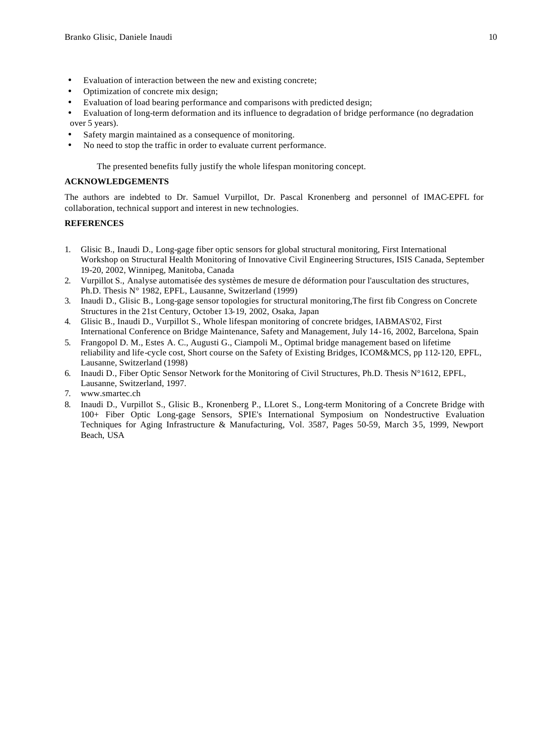- Evaluation of interaction between the new and existing concrete;
- Optimization of concrete mix design;
- Evaluation of load bearing performance and comparisons with predicted design;
- Evaluation of long-term deformation and its influence to degradation of bridge performance (no degradation over 5 years).
- Safety margin maintained as a consequence of monitoring.
- No need to stop the traffic in order to evaluate current performance.

The presented benefits fully justify the whole lifespan monitoring concept.

# **ACKNOWLEDGEMENTS**

The authors are indebted to Dr. Samuel Vurpillot, Dr. Pascal Kronenberg and personnel of IMAC-EPFL for collaboration, technical support and interest in new technologies.

# **REFERENCES**

- 1. Glisic B., Inaudi D., Long-gage fiber optic sensors for global structural monitoring, First International Workshop on Structural Health Monitoring of Innovative Civil Engineering Structures, ISIS Canada, September 19-20, 2002, Winnipeg, Manitoba, Canada
- 2. Vurpillot S., Analyse automatisée des systèmes de mesure de déformation pour l'auscultation des structures, Ph.D. Thesis N° 1982, EPFL, Lausanne, Switzerland (1999)
- 3. Inaudi D., Glisic B., Long-gage sensor topologies for structural monitoring,The first fib Congress on Concrete Structures in the 21st Century, October 13-19, 2002, Osaka, Japan
- 4. Glisic B., Inaudi D., Vurpillot S., Whole lifespan monitoring of concrete bridges, IABMAS'02, First International Conference on Bridge Maintenance, Safety and Management, July 14-16, 2002, Barcelona, Spain
- 5. Frangopol D. M., Estes A. C., Augusti G., Ciampoli M., Optimal bridge management based on lifetime reliability and life-cycle cost, Short course on the Safety of Existing Bridges, ICOM&MCS, pp 112-120, EPFL, Lausanne, Switzerland (1998)
- 6. Inaudi D., Fiber Optic Sensor Network for the Monitoring of Civil Structures, Ph.D. Thesis N°1612, EPFL, Lausanne, Switzerland, 1997.
- 7. www.smartec.ch
- 8. Inaudi D., Vurpillot S., Glisic B., Kronenberg P., LLoret S., Long-term Monitoring of a Concrete Bridge with 100+ Fiber Optic Long-gage Sensors, SPIE's International Symposium on Nondestructive Evaluation Techniques for Aging Infrastructure & Manufacturing, Vol. 3587, Pages 50-59, March 3-5, 1999, Newport Beach, USA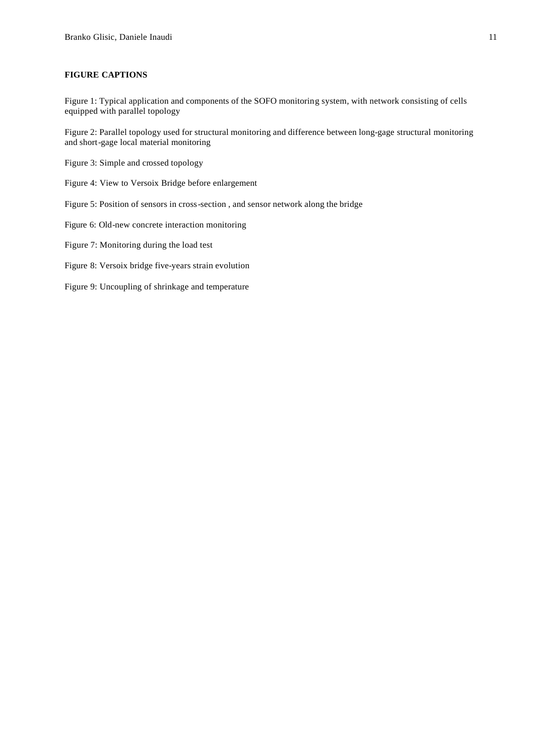# **FIGURE CAPTIONS**

Figure 1: Typical application and components of the SOFO monitoring system, with network consisting of cells equipped with parallel topology

Figure 2: Parallel topology used for structural monitoring and difference between long-gage structural monitoring and short-gage local material monitoring

- Figure 3: Simple and crossed topology
- Figure 4: View to Versoix Bridge before enlargement
- Figure 5: Position of sensors in cross-section , and sensor network along the bridge
- Figure 6: Old-new concrete interaction monitoring
- Figure 7: Monitoring during the load test
- Figure 8: Versoix bridge five-years strain evolution
- Figure 9: Uncoupling of shrinkage and temperature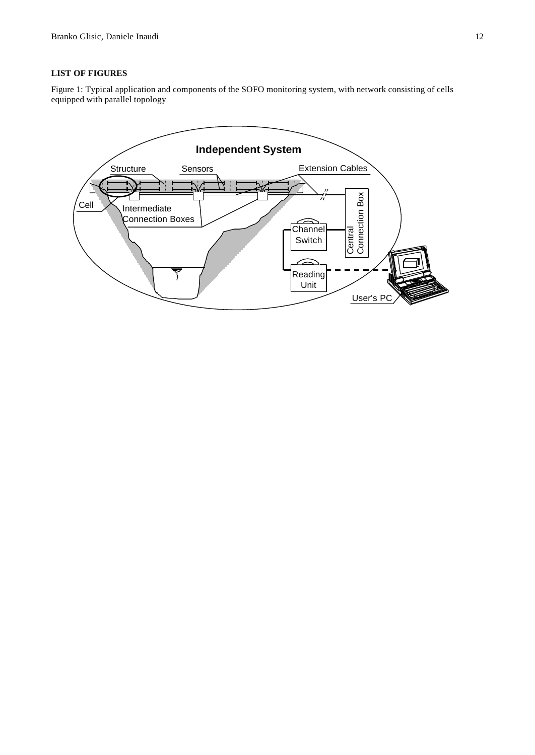# **LIST OF FIGURES**

Figure 1: Typical application and components of the SOFO monitoring system, with network consisting of cells equipped with parallel topology

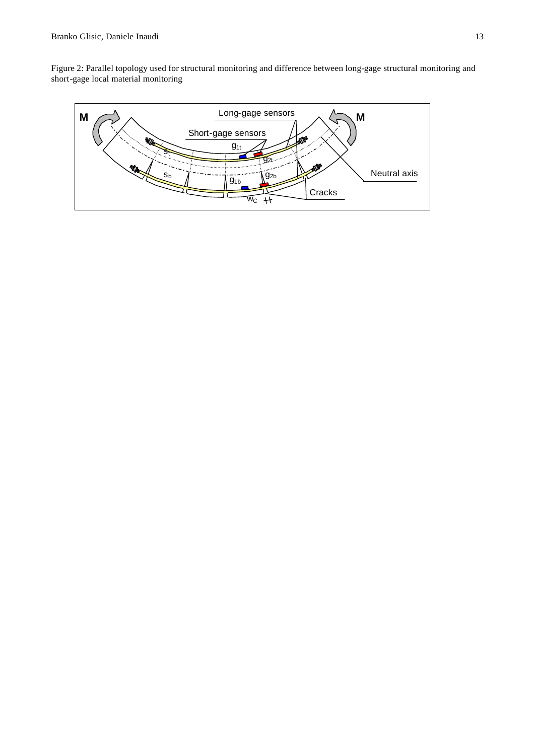Figure 2: Parallel topology used for structural monitoring and difference between long-gage structural monitoring and short-gage local material monitoring

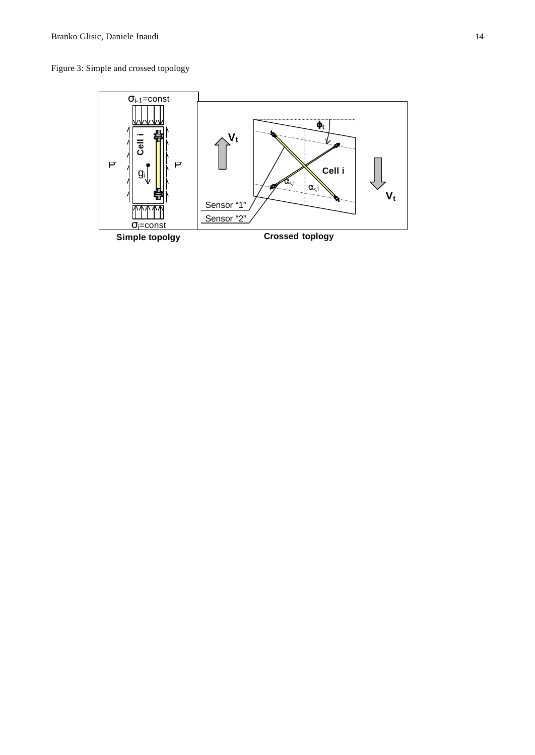Figure 3: Simple and crossed topology

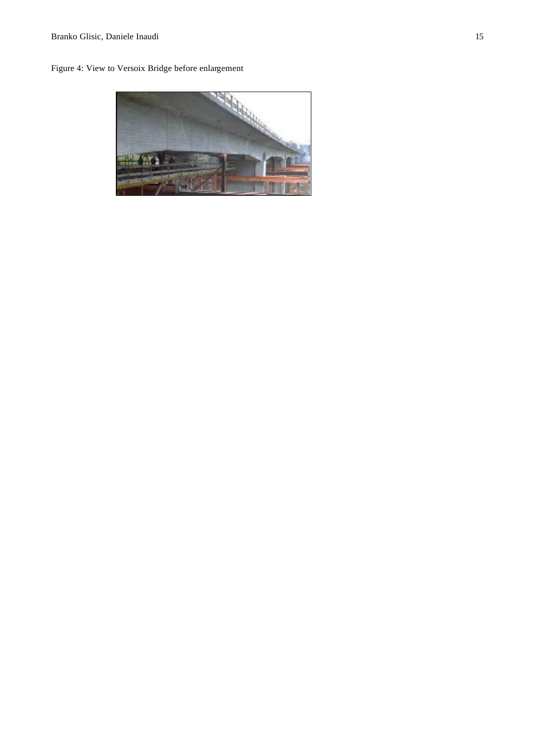Figure 4: View to Versoix Bridge before enlargement

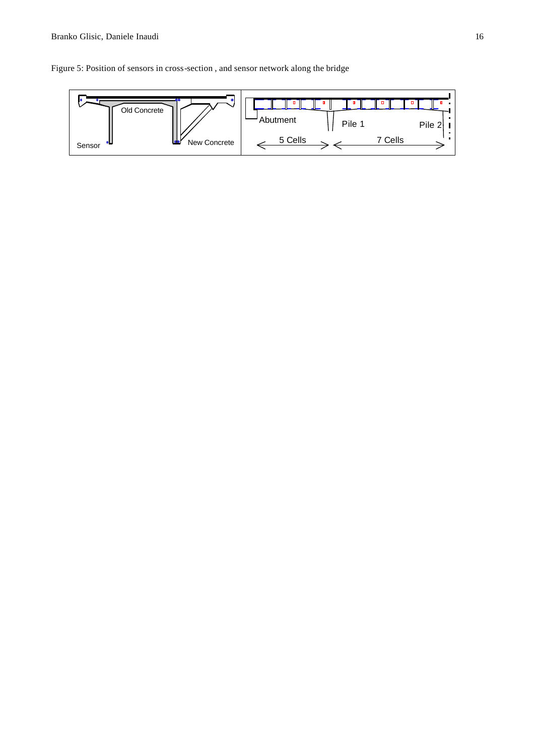Figure 5: Position of sensors in cross-section , and sensor network along the bridge

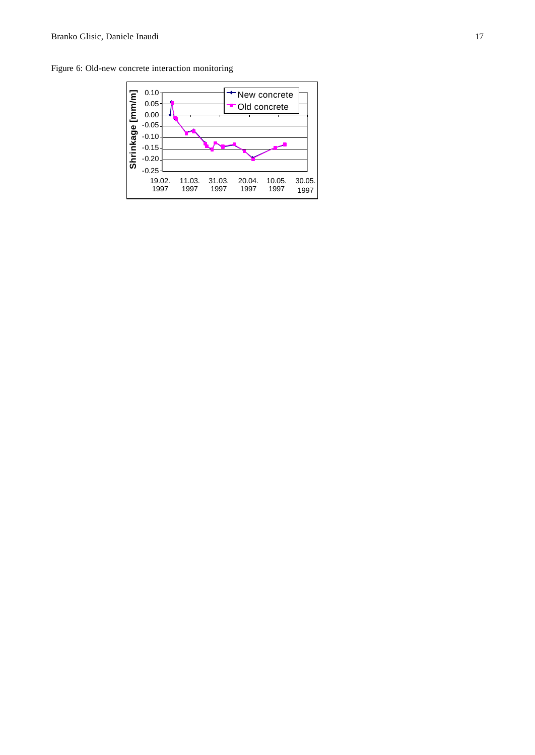Figure 6: Old -new concrete interaction monitoring

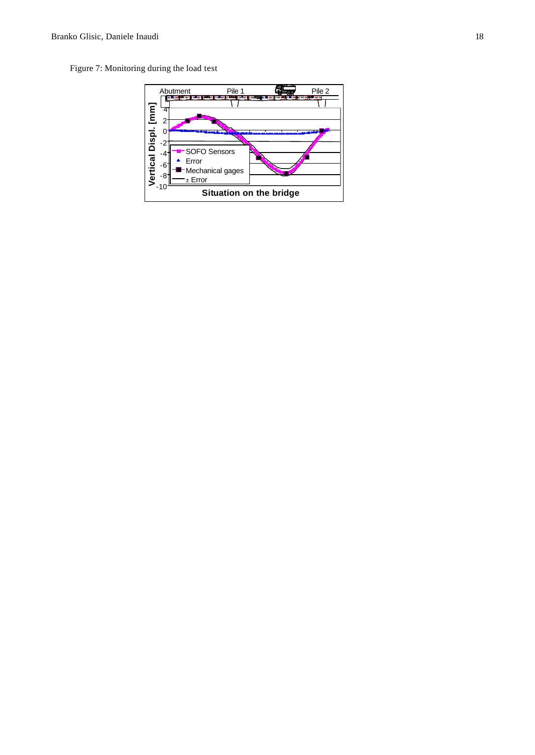Figure 7: Monitoring during the load test

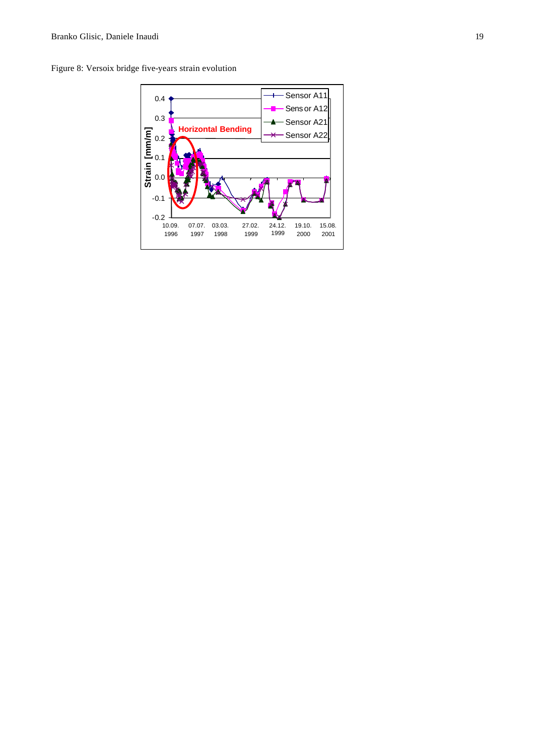Figure 8: Versoix bridge five-years strain evolution